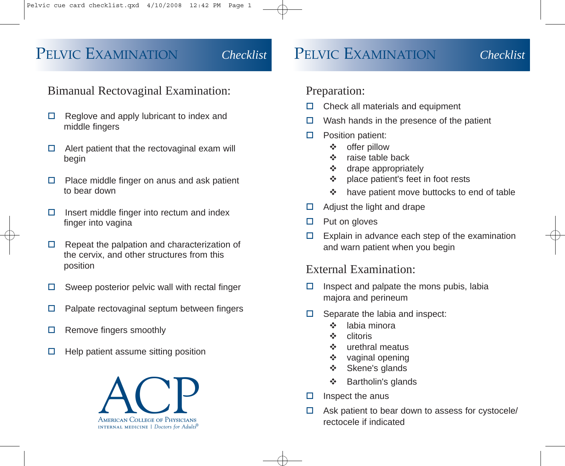# PELVIC EXAMINATION *Checklist* PELVIC EXAMINATION *Checklist*

## Bimanual Rectovaginal Examination:

- $\Box$  Reglove and apply lubricant to index and middle fingers
- $\Box$  Alert patient that the rectovaginal exam will begin
- $\Box$  Place middle finger on anus and ask patient to bear down
- $\Box$  Insert middle finger into rectum and index finger into vagina
- $\Box$  Repeat the palpation and characterization of the cervix, and other structures from this position
- $\square$  Sweep posterior pelvic wall with rectal finger
- $\Box$  Palpate rectovaginal septum between fingers
- $\Box$  Remove fingers smoothly
- $\Box$  Help patient assume sitting position



### Preparation:

- $\Box$  Check all materials and equipment
- $\Box$  Wash hands in the presence of the patient
- $\square$  Position patient:
	- offer pillow
	- $\div$  raise table back
	- $\div$  drape appropriately
	- place patient's feet in foot rests
	- ❖ have patient move buttocks to end of table
- $\Box$  Adjust the light and drape
- $\Box$  Put on gloves
- $\Box$  Explain in advance each step of the examination and warn patient when you begin

### External Examination:

- $\Box$  Inspect and palpate the mons pubis, labia majora and perineum
- $\Box$  Separate the labia and inspect:
	- $\div$  labia minora
	- clitoris
	- urethral meatus
	- $\div$  vaginal opening
	- Skene's glands
	- Bartholin's glands
- Inspect the anus
- $\Box$  Ask patient to bear down to assess for cystocele/ rectocele if indicated